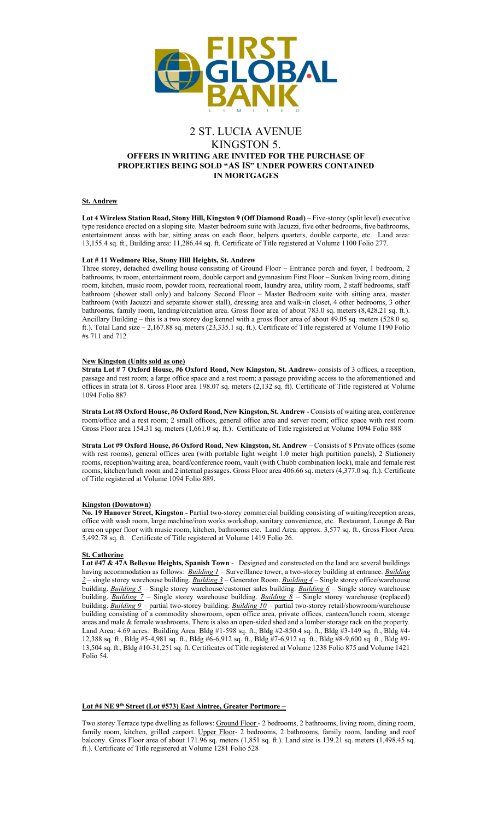

# 2 ST. LUCIA AVENUE KINGSTON 5. **OFFERS IN WRITING ARE INVITED FOR THE PURCHASE OF PROPERTIES BEING SOLD "AS IS" UNDER POWERS CONTAINED IN MORTGAGES**

## **St. Andrew**

**Lot 4 Wireless Station Road, Stony Hill, Kingston 9 (Off Diamond Road)** – Five-storey (split level) executive type residence erected on a sloping site. Master bedroom suite with Jacuzzi, five other bedrooms, five bathrooms, entertainment areas with bar, sitting areas on each floor, helpers quarters, double carporte, etc. Land area: 13,155.4 sq. ft., Building area: 11,286.44 sq. ft. Certificate of Title registered at Volume 1100 Folio 277.

#### **Lot # 11 Wedmore Rise, Stony Hill Heights, St. Andrew**

Three storey, detached dwelling house consisting of Ground Floor – Entrance porch and foyer, 1 bedroom, 2 bathrooms, tv room, entertainment room, double carport and gymnasium First Floor – Sunken living room, dining room, kitchen, music room, powder room, recreational room, laundry area, utility room, 2 staff bedrooms, staff bathroom (shower stall only) and balcony Second Floor – Master Bedroom suite with sitting area, master bathroom (with Jacuzzi and separate shower stall), dressing area and walk-in closet, 4 other bedrooms, 3 other bathrooms, family room, landing/circulation area. Gross floor area of about 783.0 sq. meters (8,428.21 sq. ft.). Ancillary Building – this is a two storey dog kennel with a gross floor area of about 49.05 sq. meters (528.0 sq. ft.). Total Land size – 2,167.88 sq. meters (23,335.1 sq. ft.). Certificate of Title registered at Volume 1190 Folio #s 711 and 712

## **New Kingston (Units sold as one)**

**Strata Lot # 7 Oxford House, #6 Oxford Road, New Kingston, St. Andrew-** consists of 3 offices, a reception, passage and rest room; a large office space and a rest room; a passage providing access to the aforementioned and offices in strata lot 8. Gross Floor area 198.07 sq. meters (2,132 sq. ft). Certificate of Title registered at Volume 1094 Folio 887

**Strata Lot #8 Oxford House, #6 Oxford Road, New Kingston, St. Andrew** - Consists of waiting area, conference room/office and a rest room; 2 small offices, general office area and server room; office space with rest room. Gross Floor area 154.31 sq. meters (1,661.0 sq. ft.). Certificate of Title registered at Volume 1094 Folio 888

**Strata Lot #9 Oxford House, #6 Oxford Road, New Kingston, St. Andrew** – Consists of 8 Private offices (some with rest rooms), general offices area (with portable light weight 1.0 meter high partition panels), 2 Stationery rooms, reception/waiting area, board/conference room, vault (with Chubb combination lock), male and female rest rooms, kitchen/lunch room and 2 internal passages. Gross Floor area 406.66 sq. meters (4,377.0 sq. ft.). Certificate of Title registered at Volume 1094 Folio 889.

### **Kingston (Downtown)**

**No. 19 Hanover Street, Kingston -** Partial two-storey commercial building consisting of waiting/reception areas, office with wash room, large machine/iron works workshop, sanitary convenience, etc. Restaurant, Lounge & Bar area on upper floor with music room, kitchen, bathrooms etc. Land Area: approx. 3,577 sq. ft., Gross Floor Area: 5,492.78 sq. ft. Certificate of Title registered at Volume 1419 Folio 26.

#### **St. Catherine**

**Lot #47 & 47A Bellevue Heights, Spanish Town** - Designed and constructed on the land are several buildings having accommodation as follows: *Building 1* – Surveillance tower, a two-storey building at entrance. *Building 2* – single storey warehouse building. *Building 3* – Generator Room. *Building 4* – Single storey office/warehouse building. *Building 5* – Single storey warehouse/customer sales building. *Building 6* – Single storey warehouse building. *Building 7* – Single storey warehouse building. *Building 8* – Single storey warehouse (replaced) building. *Building 9* – partial two-storey building. *Building 10* – partial two-storey retail/showroom/warehouse building consisting of a commodity showroom, open office area, private offices, canteen/lunch room, storage areas and male & female washrooms. There is also an open-sided shed and a lumber storage rack on the property. Land Area: 4.69 acres. Building Area: Bldg #1-598 sq. ft., Bldg #2-850.4 sq. ft., Bldg #3-149 sq. ft., Bldg #4- 12,388 sq. ft., Bldg #5-4,981 sq. ft., Bldg #6-6,912 sq. ft., Bldg #7-6,912 sq. ft., Bldg #8-9,600 sq. ft., Bldg #9- 13,504 sq. ft., Bldg #10-31,251 sq. ft. Certificates of Title registered at Volume 1238 Folio 875 and Volume 1421 Folio 54.

# **Lot #4 NE 9th Street (Lot #573) East Aintree, Greater Portmore –**

Two storey Terrace type dwelling as follows: Ground Floor - 2 bedrooms, 2 bathrooms, living room, dining room, family room, kitchen, grilled carport. Upper Floor- 2 bedrooms, 2 bathrooms, family room, landing and roof balcony. Gross Floor area of about 171.96 sq. meters (1,851 sq. ft.). Land size is 139.21 sq. meters (1,498.45 sq. ft.). Certificate of Title registered at Volume 1281 Folio 528